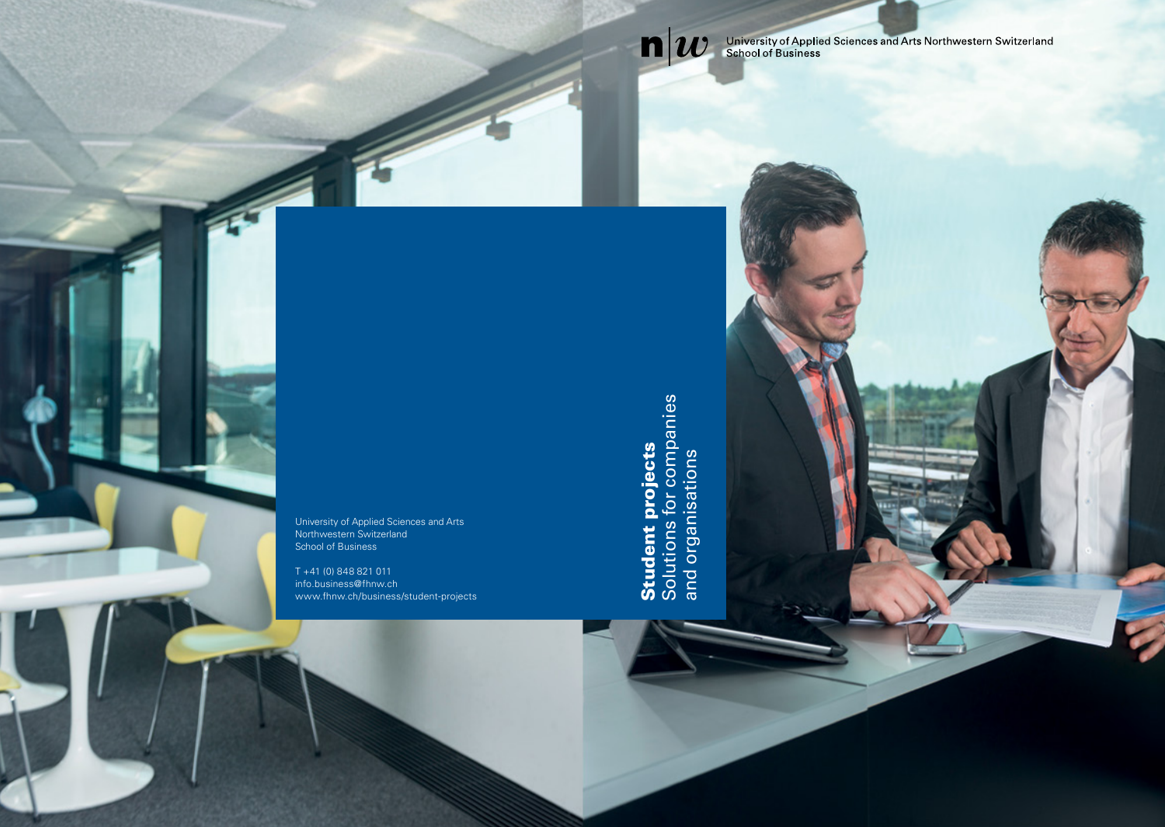

University of Applied Sciences and Arts Northwestern Switzerland School of Business

T +41 (0) 848 821 011 info.business@fhnw.ch www.fhnw.ch/business/student-projects **Student projects**<br>Solutions for companies<br>and organisations Solutions for companies Student projects and organisations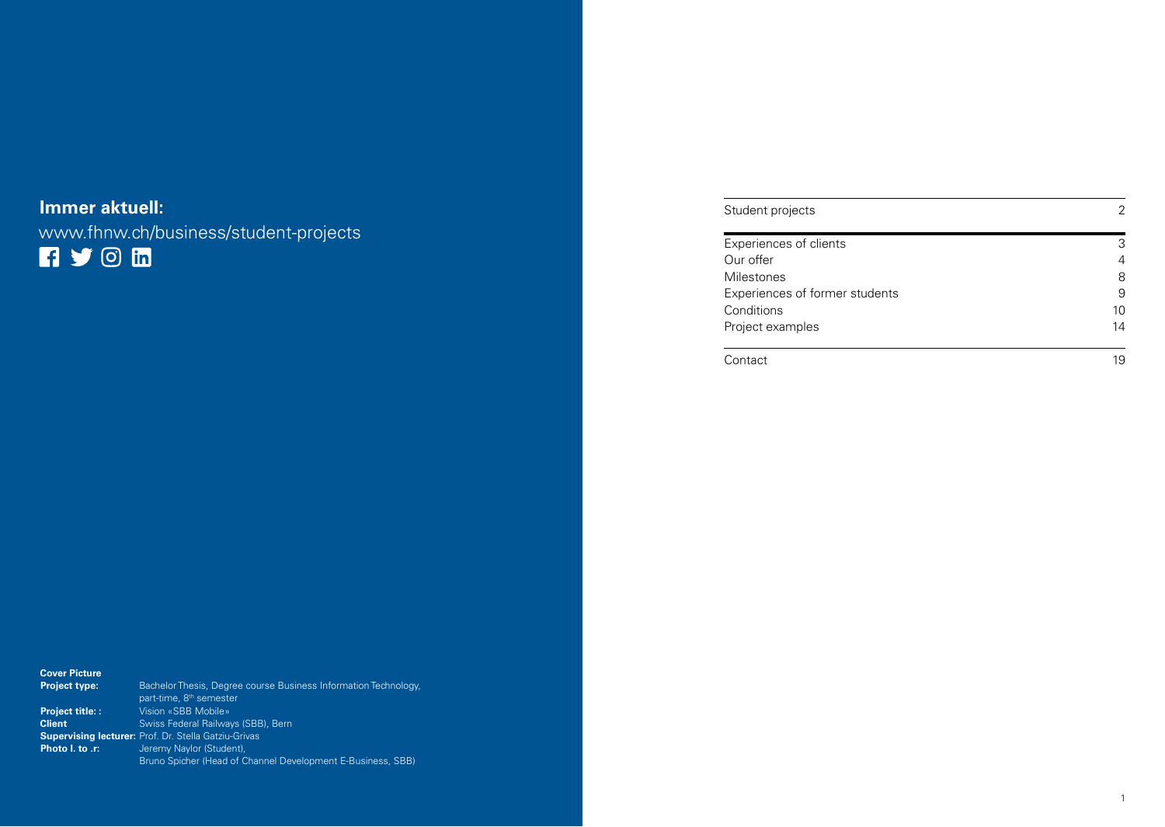# **Immer aktuell:**

www.fhnw.ch/business/student-projects

| Student projects               | 2  |
|--------------------------------|----|
|                                |    |
| Experiences of clients         | 3  |
| Our offer                      | 4  |
| <b>Milestones</b>              | 8  |
| Experiences of former students | 9  |
| Conditions                     | 10 |
| Project examples               | 14 |
| Contact                        | 19 |

| <b>Cover Picture</b>   |                                                                 |
|------------------------|-----------------------------------------------------------------|
| <b>Project type:</b>   | Bachelor Thesis, Degree course Business Information Technology, |
|                        | part-time, 8 <sup>th</sup> semester                             |
| <b>Project title::</b> | Vision «SBB Mobile»                                             |
| <b>Client</b>          | Swiss Federal Railways (SBB), Bern                              |
|                        | <b>Supervising lecturer: Prof. Dr. Stella Gatziu-Grivas</b>     |
| Photo I. to .r:        | Jeremy Naylor (Student),                                        |
|                        | Bruno Spicher (Head of Channel Development E-Business, SBB)     |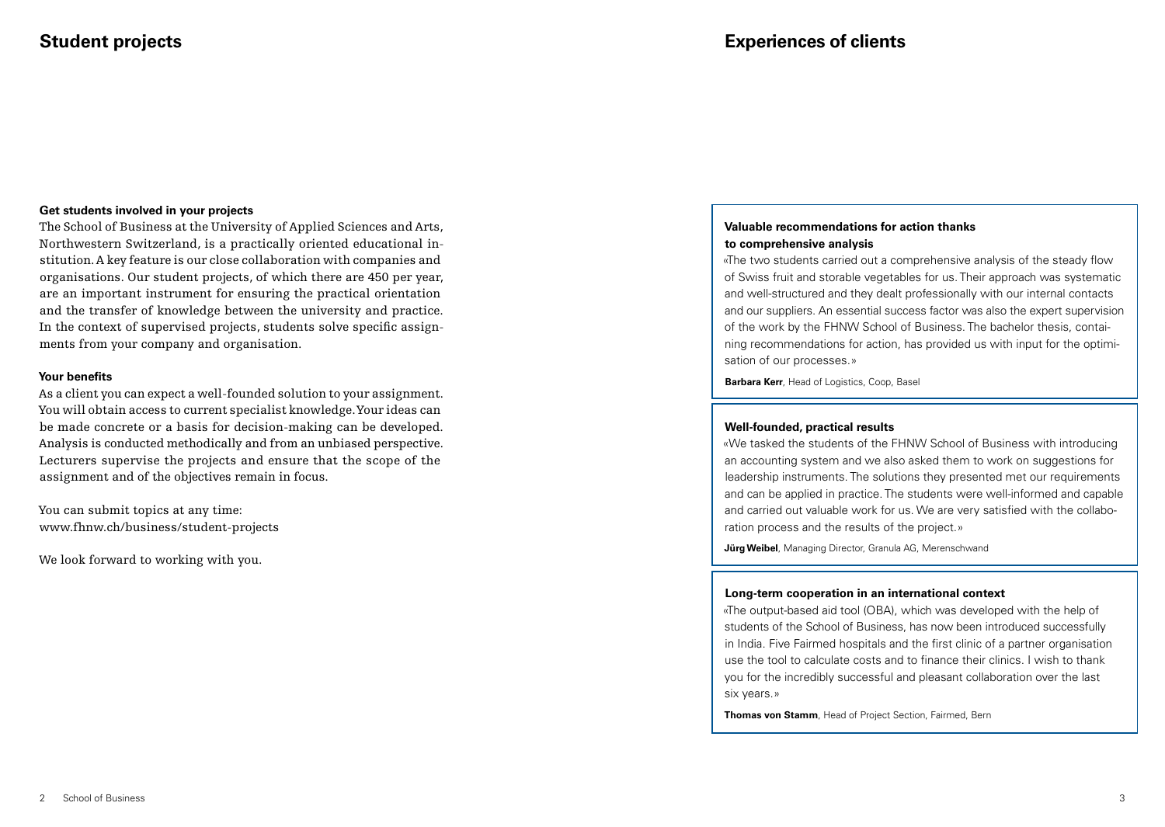## **Get students involved in your projects**

The School of Business at the University of Applied Sciences and Arts, Northwestern Switzerland, is a practically oriented educational institution. A key feature is our close collaboration with companies and organisations. Our student projects, of which there are 450 per year, are an important instrument for ensuring the practical orientation and the transfer of knowledge between the university and practice. In the context of supervised projects, students solve specific assignments from your company and organisation.

## **Your benefits**

As a client you can expect a well-founded solution to your assignment. You will obtain access to current specialist knowledge. Your ideas can be made concrete or a basis for decision-making can be developed. Analysis is conducted methodically and from an unbiased perspective. Lecturers supervise the projects and ensure that the scope of the assignment and of the objectives remain in focus.

You can submit topics at any time: www.fhnw.ch/business/student-projects

We look forward to working with you.

## **Valuable recommendations for action thanks to comprehensive analysis**

«The two students carried out a comprehensive analysis of the steady flow of Swiss fruit and storable vegetables for us. Their approach was systematic and well-structured and they dealt professionally with our internal contacts and our suppliers. An essential success factor was also the expert supervision of the work by the FHNW School of Business. The bachelor thesis, containing recommendations for action, has provided us with input for the optimisation of our processes.»

**Barbara Kerr**, Head of Logistics, Coop, Basel

## **Well-founded, practical results**

«We tasked the students of the FHNW School of Business with introducing an accounting system and we also asked them to work on suggestions for leadership instruments. The solutions they presented met our requirements and can be applied in practice. The students were well-informed and capable and carried out valuable work for us. We are very satisfied with the collaboration process and the results of the project.»

**Jürg Weibel**, Managing Director, Granula AG, Merenschwand

## **Long-term cooperation in an international context**

«The output-based aid tool (OBA), which was developed with the help of students of the School of Business, has now been introduced successfully in India. Five Fairmed hospitals and the first clinic of a partner organisation use the tool to calculate costs and to finance their clinics. I wish to thank you for the incredibly successful and pleasant collaboration over the last six years.»

**Thomas von Stamm**, Head of Project Section, Fairmed, Bern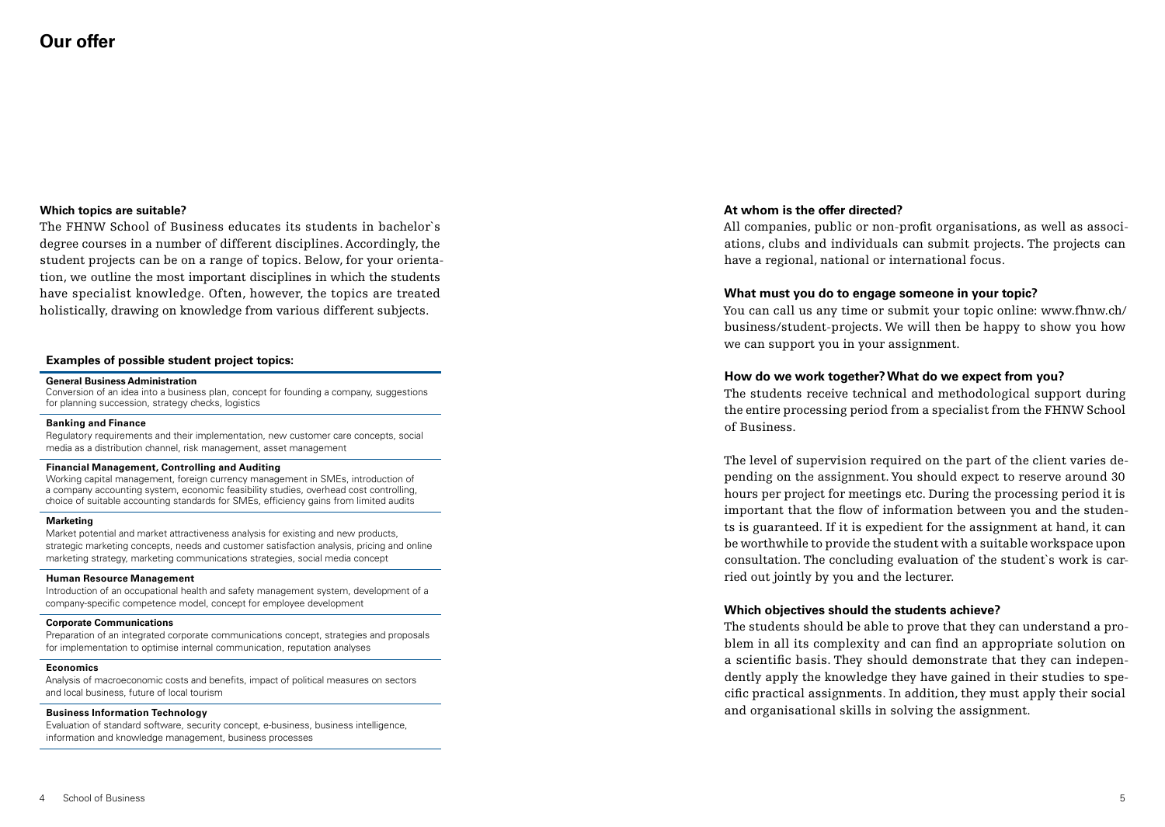## **Which topics are suitable?**

The FHNW School of Business educates its students in bachelor`s degree courses in a number of different disciplines. Accordingly, the student projects can be on a range of topics. Below, for your orientation, we outline the most important disciplines in which the students have specialist knowledge. Often, however, the topics are treated holistically, drawing on knowledge from various different subjects.

## **Examples of possible student project topics:**

#### **General Business Administration**

Conversion of an idea into a business plan, concept for founding a company, suggestions for planning succession, strategy checks, logistics

### **Banking and Finance**

Regulatory requirements and their implementation, new customer care concepts, social media as a distribution channel, risk management, asset management

#### **Financial Management, Controlling and Auditing**

Working capital management, foreign currency management in SMEs, introduction of a company accounting system, economic feasibility studies, overhead cost controlling, choice of suitable accounting standards for SMEs, efficiency gains from limited audits

#### **Marketing**

Market potential and market attractiveness analysis for existing and new products, strategic marketing concepts, needs and customer satisfaction analysis, pricing and online marketing strategy, marketing communications strategies, social media concept

#### **Human Resource Management**

Introduction of an occupational health and safety management system, development of a company-specific competence model, concept for employee development

#### **Corporate Communications**

Preparation of an integrated corporate communications concept, strategies and proposals for implementation to optimise internal communication, reputation analyses

#### **Economics**

Analysis of macroeconomic costs and benefits, impact of political measures on sectors and local business, future of local tourism

#### **Business Information Technology**

Evaluation of standard software, security concept, e-business, business intelligence, information and knowledge management, business processes

## **At whom is the offer directed?**

All companies, public or non-profit organisations, as well as associations, clubs and individuals can submit projects. The projects can have a regional, national or international focus.

## **What must you do to engage someone in your topic?**

You can call us any time or submit your topic online: www.fhnw.ch/ business/student-projects. We will then be happy to show you how we can support you in your assignment.

## **How do we work together? What do we expect from you?**

The students receive technical and methodological support during the entire processing period from a specialist from the FHNW School of Business.

The level of supervision required on the part of the client varies depending on the assignment. You should expect to reserve around 30 hours per project for meetings etc. During the processing period it is important that the flow of information between you and the students is guaranteed. If it is expedient for the assignment at hand, it can be worthwhile to provide the student with a suitable workspace upon consultation. The concluding evaluation of the student`s work is carried out jointly by you and the lecturer.

## **Which objectives should the students achieve?**

The students should be able to prove that they can understand a problem in all its complexity and can find an appropriate solution on a scientific basis. They should demonstrate that they can independently apply the knowledge they have gained in their studies to specific practical assignments. In addition, they must apply their social and organisational skills in solving the assignment.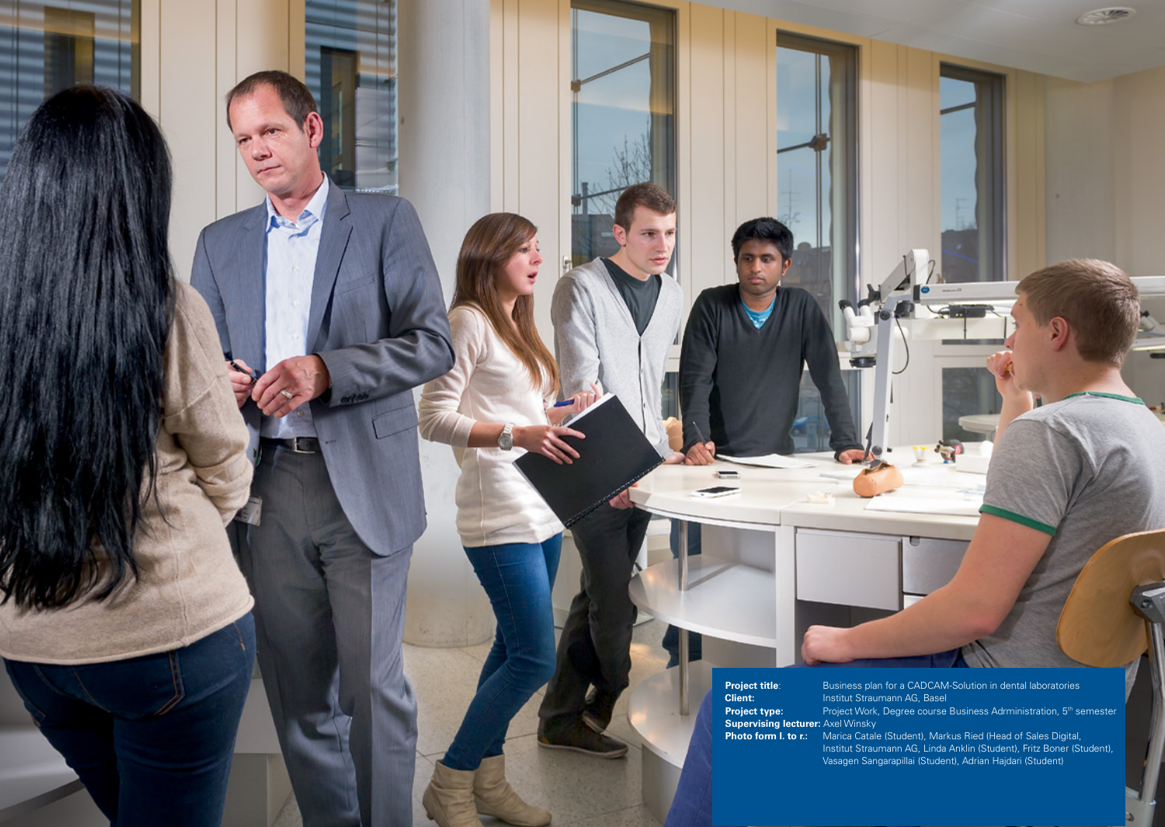**Project title:**<br>Client: **Supervising lecturer:** Axel Winsky

6 School of Business

: Business plan for a CADCAM-Solution in dental laboratories **Client:** Institut Straumann AG, Base **Project type:** Project Work, Degree course Business Adrministration, 5<sup>th</sup> semester

 $\sim$ 

**Photo form I. to r.:** Marica Catale (Student), Markus Ried (Head of Sales Digital, Institut Straumann AG, Linda Anklin (Student), Fritz Boner (Student), Vasagen Sangarapillai (Student), Adrian Hajdari (Student)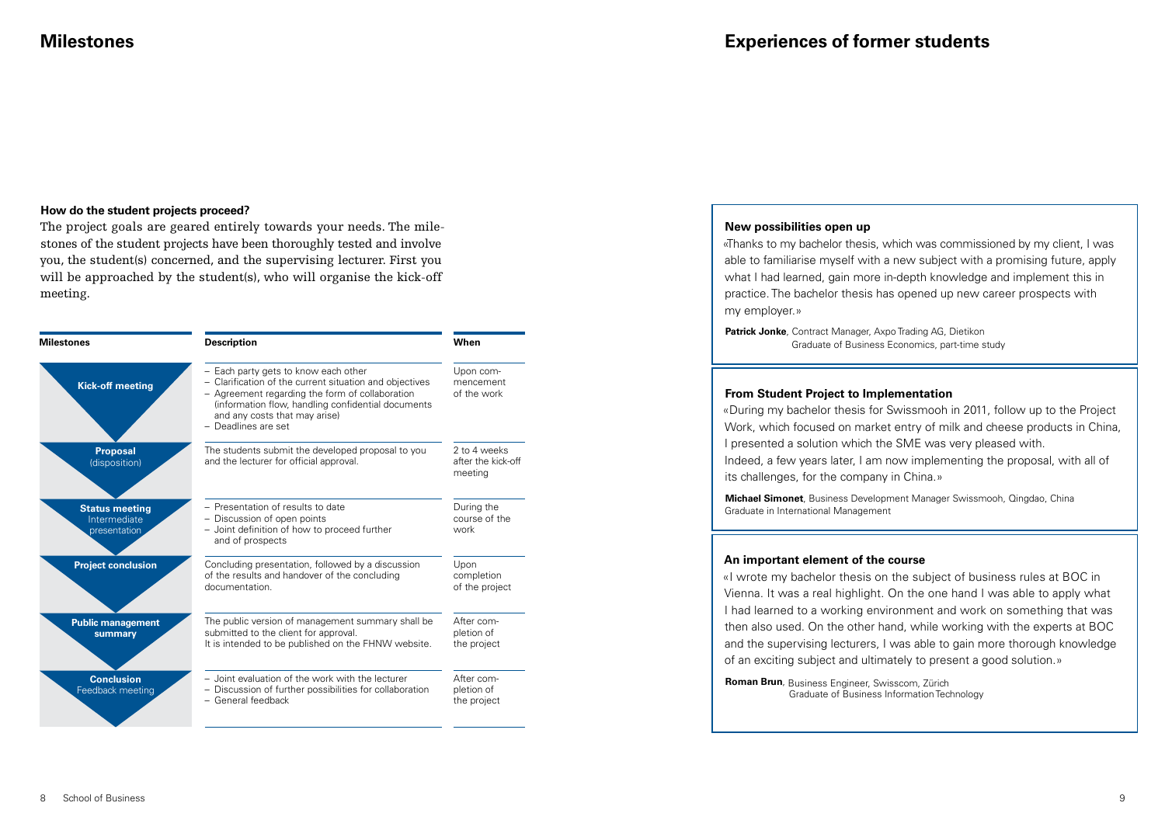## **How do the student projects proceed?**

The project goals are geared entirely towards your needs. The milestones of the student projects have been thoroughly tested and involve you, the student(s) concerned, and the supervising lecturer. First you will be approached by the student(s), who will organise the kick-off meeting.

| <b>Milestones</b>                                     | <b>Description</b>                                                                                                                                                                                                                                               | When                                          |
|-------------------------------------------------------|------------------------------------------------------------------------------------------------------------------------------------------------------------------------------------------------------------------------------------------------------------------|-----------------------------------------------|
| <b>Kick-off meeting</b>                               | - Each party gets to know each other<br>- Clarification of the current situation and objectives<br>- Agreement regarding the form of collaboration<br>(information flow, handling confidential documents<br>and any costs that may arise)<br>- Deadlines are set | Upon com-<br>mencement<br>of the work         |
| <b>Proposal</b><br>(disposition)                      | The students submit the developed proposal to you<br>and the lecturer for official approval.                                                                                                                                                                     | 2 to 4 weeks<br>after the kick-off<br>meeting |
| <b>Status meeting</b><br>Intermediate<br>presentation | - Presentation of results to date<br>- Discussion of open points<br>- Joint definition of how to proceed further<br>and of prospects                                                                                                                             | During the<br>course of the<br>work           |
| <b>Project conclusion</b>                             | Concluding presentation, followed by a discussion<br>of the results and handover of the concluding<br>documentation                                                                                                                                              | Upon<br>completion<br>of the project          |
| <b>Public management</b><br>summary                   | The public version of management summary shall be<br>submitted to the client for approval.<br>It is intended to be published on the FHNW website.                                                                                                                | After com-<br>pletion of<br>the project       |
| <b>Conclusion</b><br>Feedback meeting                 | - Joint evaluation of the work with the lecturer<br>- Discussion of further possibilities for collaboration<br>- General feedback                                                                                                                                | After com-<br>pletion of<br>the project       |

## **New possibilities open up**

«Thanks to my bachelor thesis, which was commissioned by my client, I was able to familiarise myself with a new subject with a promising future, apply what I had learned, gain more in-depth knowledge and implement this in practice. The bachelor thesis has opened up new career prospects with my employer.»

**Patrick Jonke**, Contract Manager, Axpo Trading AG, Dietikon Graduate of Business Economics, part-time study

## **From Student Project to Implementation**

«During my bachelor thesis for Swissmooh in 2011, follow up to the Project Work, which focused on market entry of milk and cheese products in China, I presented a solution which the SME was very pleased with. Indeed, a few years later, I am now implementing the proposal, with all of its challenges, for the company in China.»

**Michael Simonet**, Business Development Manager Swissmooh, Qingdao, China Graduate in International Management

## **An important element of the course**

«I wrote my bachelor thesis on the subject of business rules at BOC in Vienna. It was a real highlight. On the one hand I was able to apply what I had learned to a working environment and work on something that was then also used. On the other hand, while working with the experts at BOC and the supervising lecturers, I was able to gain more thorough knowledge of an exciting subject and ultimately to present a good solution.»

**Roman Brun**, Business Engineer, Swisscom, Zürich Graduate of Business Information Technology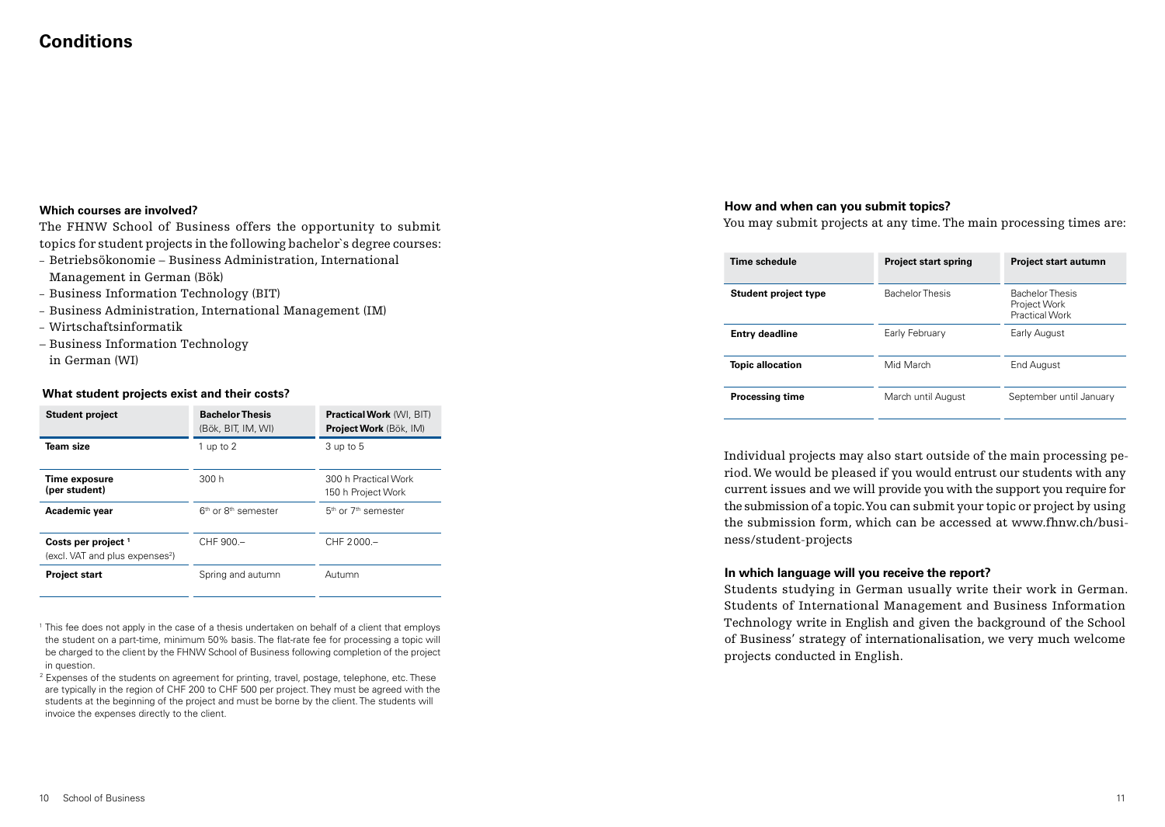## **Conditions**

## **Which courses are involved?**

The FHNW School of Business offers the opportunity to submit topics for student projects in the following bachelor`s degree courses:

- Betriebsökonomie Business Administration, International Management in German (Bök)
- Business Information Technology (BIT)
- Business Administration, International Management (IM)
- Wirtschaftsinformatik
- Business Information Technology in German (WI)

## **What student projects exist and their costs?**

| <b>Student project</b>                                                        | <b>Bachelor Thesis</b><br>(Bök, BIT, IM, WI) | <b>Practical Work (WI, BIT)</b><br>Project Work (Bök, IM) |
|-------------------------------------------------------------------------------|----------------------------------------------|-----------------------------------------------------------|
| Team size                                                                     | 1 up to 2                                    | 3 up to 5                                                 |
| Time exposure<br>(per student)                                                | 300h                                         | 300 h Practical Work<br>150 h Project Work                |
| Academic year                                                                 | 6 <sup>th</sup> or 8 <sup>th</sup> semester  | 5 <sup>th</sup> or 7 <sup>th</sup> semester               |
| Costs per project <sup>1</sup><br>(excl. VAT and plus expenses <sup>2</sup> ) | CHF 900 -                                    | $CHF 2000 -$                                              |
| <b>Project start</b>                                                          | Spring and autumn                            | Autumn                                                    |

<sup>1</sup> This fee does not apply in the case of a thesis undertaken on behalf of a client that employs the student on a part-time, minimum 50% basis. The flat-rate fee for processing a topic will be charged to the client by the FHNW School of Business following completion of the project in question.

<sup>2</sup> Expenses of the students on agreement for printing, travel, postage, telephone, etc. These are typically in the region of CHF 200 to CHF 500 per project. They must be agreed with the students at the beginning of the project and must be borne by the client. The students will invoice the expenses directly to the client.

## **How and when can you submit topics?**

You may submit projects at any time. The main processing times are:

| Time schedule           | <b>Project start spring</b> | <b>Project start autumn</b>                                     |
|-------------------------|-----------------------------|-----------------------------------------------------------------|
| Student project type    | <b>Bachelor Thesis</b>      | <b>Bachelor Thesis</b><br>Project Work<br><b>Practical Work</b> |
| <b>Entry deadline</b>   | Early February              | Early August                                                    |
| <b>Topic allocation</b> | Mid March                   | End August                                                      |
| <b>Processing time</b>  | March until August          | September until January                                         |

Individual projects may also start outside of the main processing period. We would be pleased if you would entrust our students with any current issues and we will provide you with the support you require for the submission of a topic. You can submit your topic or project by using the submission form, which can be accessed at www.fhnw.ch/business/student-projects

## **In which language will you receive the report?**

Students studying in German usually write their work in German. Students of International Management and Business Information Technology write in English and given the background of the School of Business' strategy of internationalisation, we very much welcome projects conducted in English.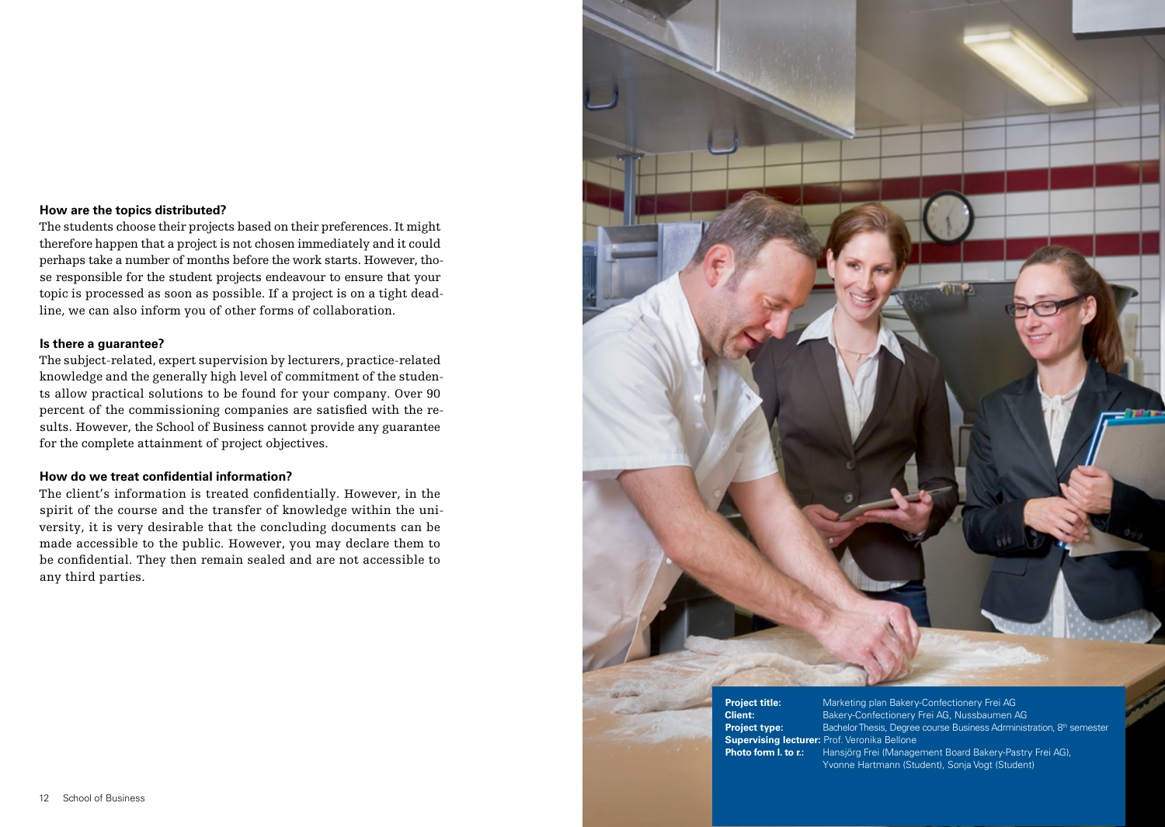## **How are the topics distributed?**

The students choose their projects based on their preferences. It might therefore happen that a project is not chosen immediately and it could perhaps take a number of months before the work starts. However, those responsible for the student projects endeavour to ensure that your topic is processed as soon as possible. If a project is on a tight deadline, we can also inform you of other forms of collaboration.

## **Is there a guarantee?**

The subject-related, expert supervision by lecturers, practice-related knowledge and the generally high level of commitment of the students allow practical solutions to be found for your company. Over 90 percent of the commissioning companies are satisfied with the results. However, the School of Business cannot provide any guarantee for the complete attainment of project objectives.

## **How do we treat confidential information?**

The client's information is treated confidentially. However, in the spirit of the course and the transfer of knowledge within the university, it is very desirable that the concluding documents can be made accessible to the public. However, you may declare them to be confidential. They then remain sealed and are not accessible to any third parties.



**Project title:** Marketing plan Bakery-Confectionery Frei AG **Client:** Bakery-Confectionery Frei AG, Nussbaumen AG **Project type:** Bachelor Thesis, Degree course Business Adrministration, 8<sup>th</sup> semester **Supervising lecturer:** Prof. Veronika Bellone **Photo form l. to r.:** Hansjörg Frei (Management Board Bakery-Pastry Frei AG), Yvonne Hartmann (Student), Sonia Vogt (Student)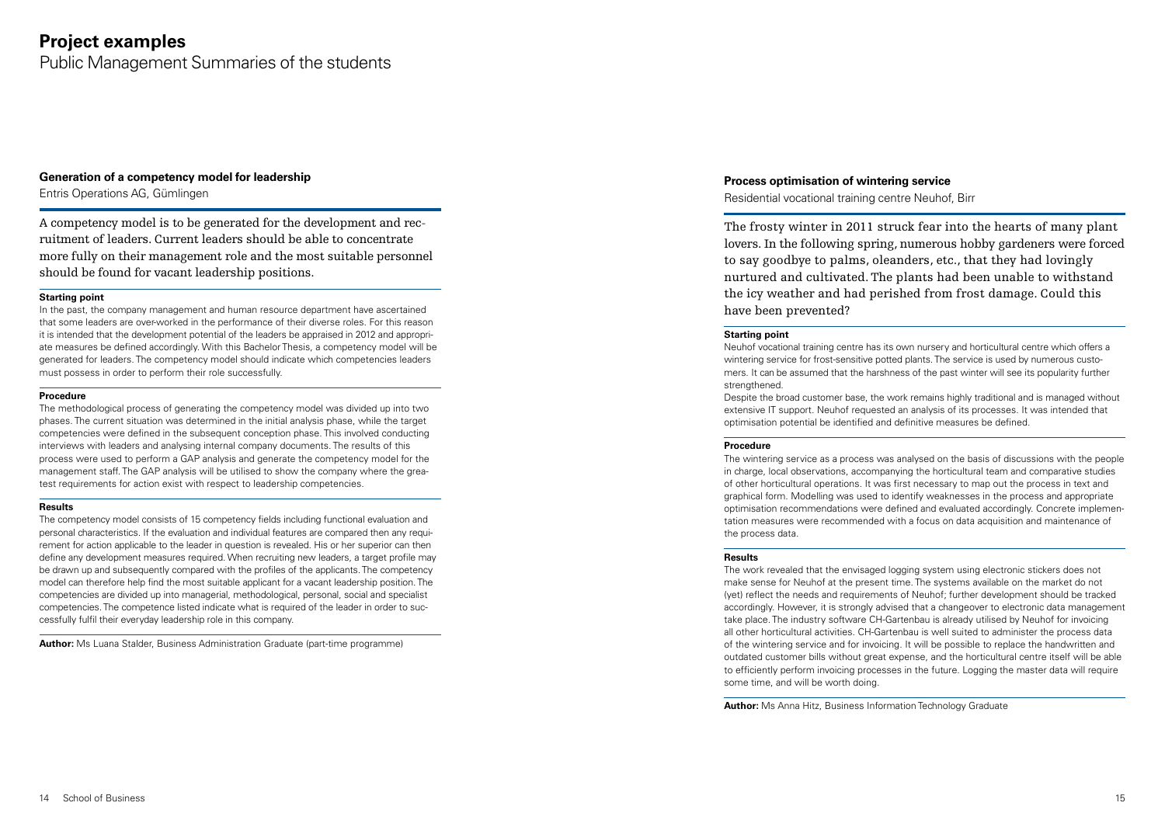## **Project examples**

Public Management Summaries of the students

### **Generation of a competency model for leadership**

Entris Operations AG, Gümlingen

A competency model is to be generated for the development and recruitment of leaders. Current leaders should be able to concentrate more fully on their management role and the most suitable personnel should be found for vacant leadership positions.

#### **Starting point**

In the past, the company management and human resource department have ascertained that some leaders are over-worked in the performance of their diverse roles. For this reason it is intended that the development potential of the leaders be appraised in 2012 and appropriate measures be defined accordingly. With this Bachelor Thesis, a competency model will be generated for leaders. The competency model should indicate which competencies leaders must possess in order to perform their role successfully.

#### **Procedure**

The methodological process of generating the competency model was divided up into two phases. The current situation was determined in the initial analysis phase, while the target competencies were defined in the subsequent conception phase. This involved conducting interviews with leaders and analysing internal company documents. The results of this process were used to perform a GAP analysis and generate the competency model for the management staff. The GAP analysis will be utilised to show the company where the greatest requirements for action exist with respect to leadership competencies.

#### **Results**

The competency model consists of 15 competency fields including functional evaluation and personal characteristics. If the evaluation and individual features are compared then any requirement for action applicable to the leader in question is revealed. His or her superior can then define any development measures required. When recruiting new leaders, a target profile may be drawn up and subsequently compared with the profiles of the applicants. The competency model can therefore help find the most suitable applicant for a vacant leadership position. The competencies are divided up into managerial, methodological, personal, social and specialist competencies. The competence listed indicate what is required of the leader in order to successfully fulfil their everyday leadership role in this company.

**Author:** Ms Luana Stalder, Business Administration Graduate (part-time programme)

## **Process optimisation of wintering service**

Residential vocational training centre Neuhof, Birr

The frosty winter in 2011 struck fear into the hearts of many plant lovers. In the following spring, numerous hobby gardeners were forced to say goodbye to palms, oleanders, etc., that they had lovingly nurtured and cultivated. The plants had been unable to withstand the icy weather and had perished from frost damage. Could this have been prevented?

#### **Starting point**

Neuhof vocational training centre has its own nursery and horticultural centre which offers a wintering service for frost-sensitive potted plants. The service is used by numerous customers. It can be assumed that the harshness of the past winter will see its popularity further strengthened.

Despite the broad customer base, the work remains highly traditional and is managed without extensive IT support. Neuhof requested an analysis of its processes. It was intended that optimisation potential be identified and definitive measures be defined.

#### **Procedure**

The wintering service as a process was analysed on the basis of discussions with the people in charge, local observations, accompanying the horticultural team and comparative studies of other horticultural operations. It was first necessary to map out the process in text and graphical form. Modelling was used to identify weaknesses in the process and appropriate optimisation recommendations were defined and evaluated accordingly. Concrete implementation measures were recommended with a focus on data acquisition and maintenance of the process data.

#### **Results**

The work revealed that the envisaged logging system using electronic stickers does not make sense for Neuhof at the present time. The systems available on the market do not (yet) reflect the needs and requirements of Neuhof; further development should be tracked accordingly. However, it is strongly advised that a changeover to electronic data management take place. The industry software CH-Gartenbau is already utilised by Neuhof for invoicing all other horticultural activities. CH-Gartenbau is well suited to administer the process data of the wintering service and for invoicing. It will be possible to replace the handwritten and outdated customer bills without great expense, and the horticultural centre itself will be able to efficiently perform invoicing processes in the future. Logging the master data will require some time, and will be worth doing.

**Author:** Ms Anna Hitz, Business Information Technology Graduate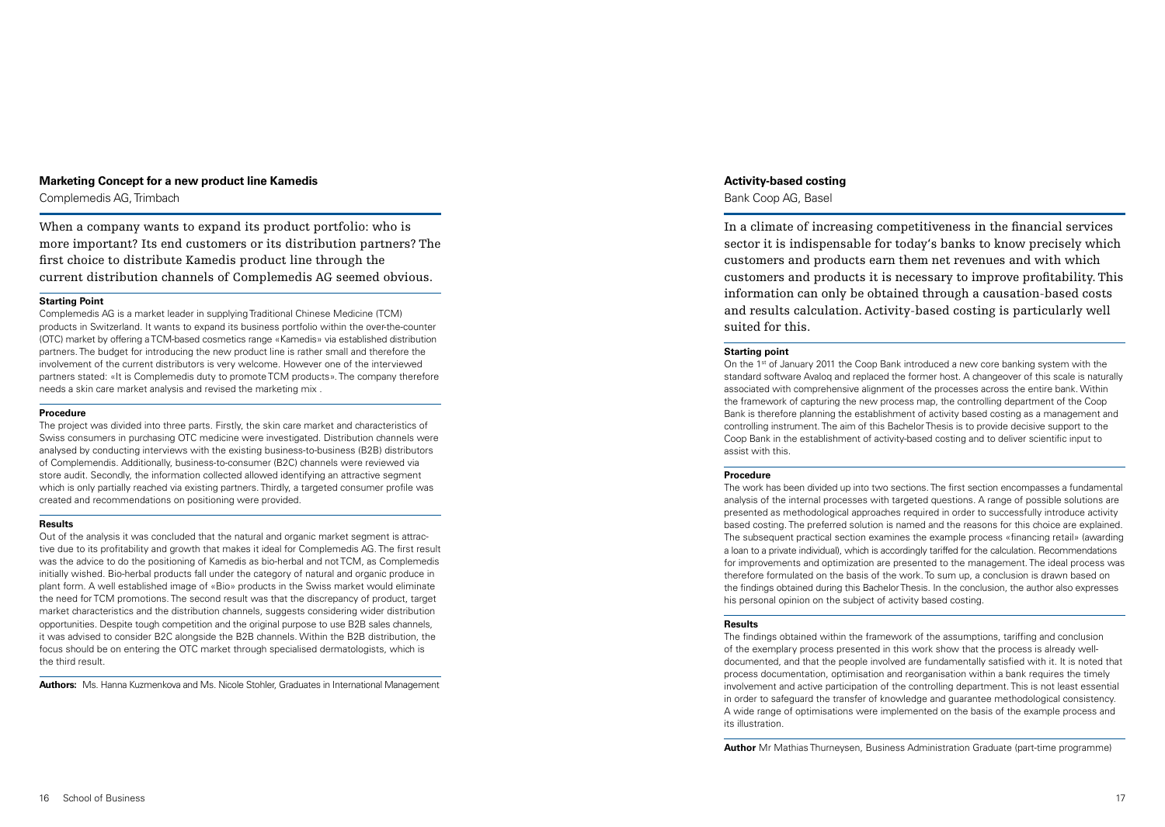#### **Marketing Concept for a new product line Kamedis**

Complemedis AG, Trimbach

When a company wants to expand its product portfolio: who is more important? Its end customers or its distribution partners? The first choice to distribute Kamedis product line through the current distribution channels of Complemedis AG seemed obvious.

#### **Starting Point**

Complemedis AG is a market leader in supplying Traditional Chinese Medicine (TCM) products in Switzerland. It wants to expand its business portfolio within the over-the-counter (OTC) market by offering a TCM-based cosmetics range «Kamedis» via established distribution partners. The budget for introducing the new product line is rather small and therefore the involvement of the current distributors is very welcome. However one of the interviewed partners stated: «It is Complemedis duty to promote TCM products». The company therefore needs a skin care market analysis and revised the marketing mix .

#### **Procedure**

The project was divided into three parts. Firstly, the skin care market and characteristics of Swiss consumers in purchasing OTC medicine were investigated. Distribution channels were analysed by conducting interviews with the existing business-to-business (B2B) distributors of Complemendis. Additionally, business-to-consumer (B2C) channels were reviewed via store audit. Secondly, the information collected allowed identifying an attractive segment which is only partially reached via existing partners. Thirdly, a targeted consumer profile was created and recommendations on positioning were provided.

#### **Results**

Out of the analysis it was concluded that the natural and organic market segment is attractive due to its profitability and growth that makes it ideal for Complemedis AG. The first result was the advice to do the positioning of Kamedis as bio-herbal and not TCM, as Complemedis initially wished. Bio-herbal products fall under the category of natural and organic produce in plant form. A well established image of «Bio» products in the Swiss market would eliminate the need for TCM promotions. The second result was that the discrepancy of product, target market characteristics and the distribution channels, suggests considering wider distribution opportunities. Despite tough competition and the original purpose to use B2B sales channels, it was advised to consider B2C alongside the B2B channels. Within the B2B distribution, the focus should be on entering the OTC market through specialised dermatologists, which is the third result.

**Authors:** Ms. Hanna Kuzmenkova and Ms. Nicole Stohler, Graduates in International Management

#### **Activity-based costing**

Bank Coop AG, Basel

In a climate of increasing competitiveness in the financial services sector it is indispensable for today's banks to know precisely which customers and products earn them net revenues and with which customers and products it is necessary to improve profitability. This information can only be obtained through a causation-based costs and results calculation. Activity-based costing is particularly well suited for this.

#### **Starting point**

On the 1st of January 2011 the Coop Bank introduced a new core banking system with the standard software Avaloq and replaced the former host. A changeover of this scale is naturally associated with comprehensive alignment of the processes across the entire bank. Within the framework of capturing the new process map, the controlling department of the Coop Bank is therefore planning the establishment of activity based costing as a management and controlling instrument. The aim of this Bachelor Thesis is to provide decisive support to the Coop Bank in the establishment of activity-based costing and to deliver scientific input to assist with this.

#### **Procedure**

The work has been divided up into two sections. The first section encompasses a fundamental analysis of the internal processes with targeted questions. A range of possible solutions are presented as methodological approaches required in order to successfully introduce activity based costing. The preferred solution is named and the reasons for this choice are explained. The subsequent practical section examines the example process «financing retail» (awarding a loan to a private individual), which is accordingly tariffed for the calculation. Recommendations for improvements and optimization are presented to the management. The ideal process was therefore formulated on the basis of the work. To sum up, a conclusion is drawn based on the findings obtained during this Bachelor Thesis. In the conclusion, the author also expresses his personal opinion on the subject of activity based costing.

#### **Results**

The findings obtained within the framework of the assumptions, tariffing and conclusion of the exemplary process presented in this work show that the process is already welldocumented, and that the people involved are fundamentally satisfied with it. It is noted that process documentation, optimisation and reorganisation within a bank requires the timely involvement and active participation of the controlling department. This is not least essential in order to safeguard the transfer of knowledge and guarantee methodological consistency. A wide range of optimisations were implemented on the basis of the example process and its illustration.

**Author** Mr Mathias Thurneysen, Business Administration Graduate (part-time programme)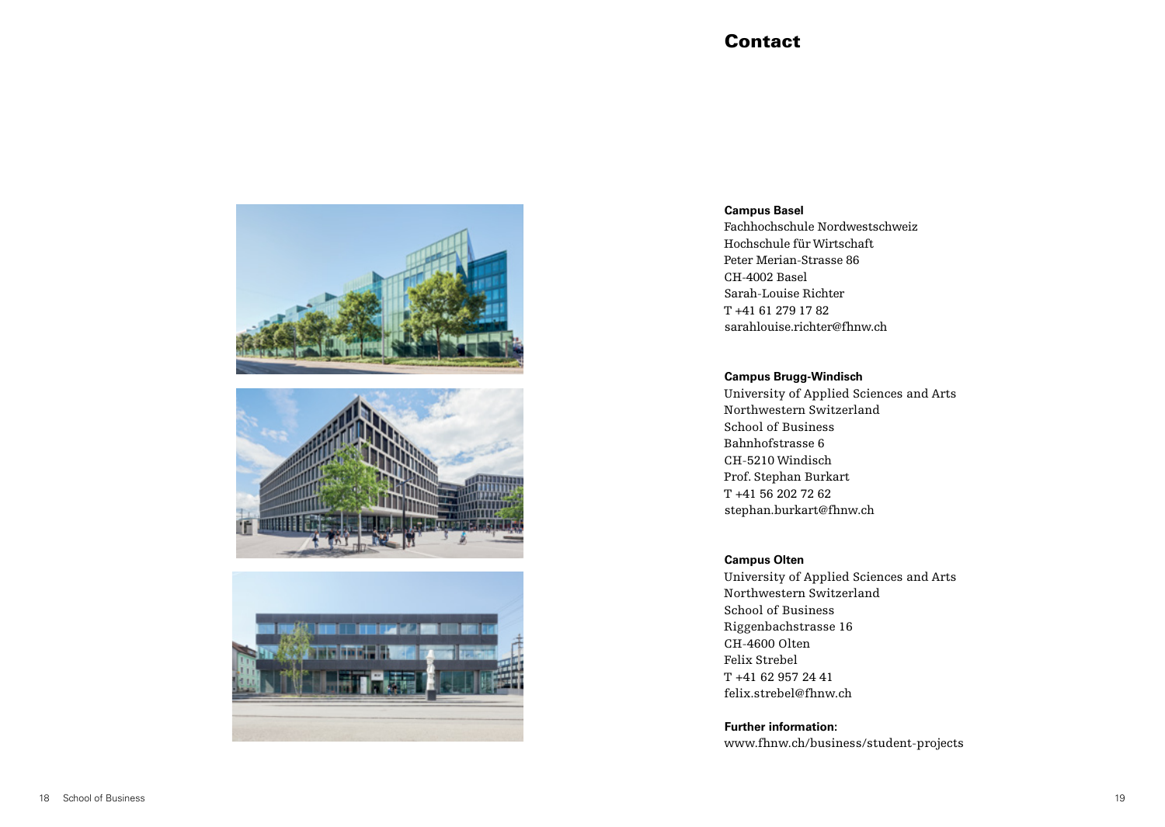## **Contact**







## **Campus Basel**

Fachhochschule Nordwestschweiz Hochschule für Wirtschaft Peter Merian-Strasse 86 CH-4002 Basel Sarah-Louise Richter T +41 61 279 17 82 sarahlouise.richter@fhnw.ch

## **Campus Brugg-Windisch**

University of Applied Sciences and Arts Northwestern Switzerland School of Business Bahnhofstrasse 6 CH-5210 Windisch Prof. Stephan Burkart T +41 56 202 72 62 stephan.burkart@fhnw.ch

## **Campus Olten**

University of Applied Sciences and Arts Northwestern Switzerland School of Business Riggenbachstrasse 16 CH-4600 Olten Felix Strebel T +41 62 957 24 41 felix.strebel@fhnw.ch

**Further information:**  www.fhnw.ch/business/student-projects